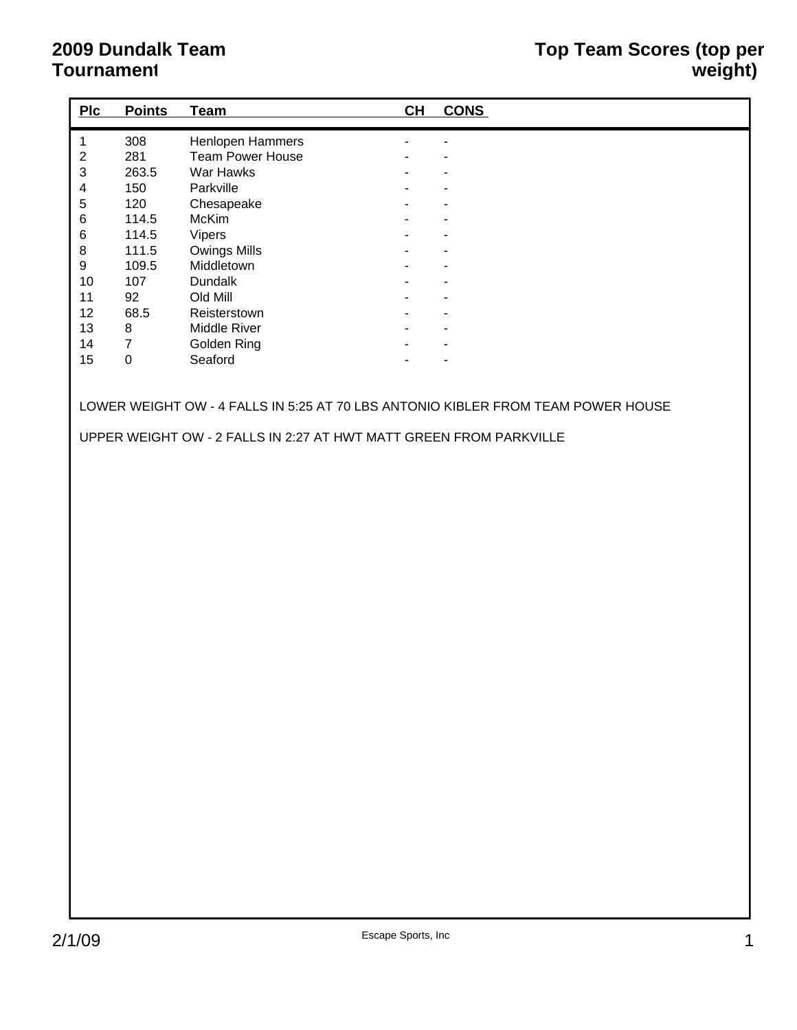## **2009 Dundalk Team Tournament**

| Plc                       | <b>Points</b>    | <b>Team</b>      | CH | <b>CONS</b> |
|---------------------------|------------------|------------------|----|-------------|
| $\mathbf{1}$              | 308              | Henlopen Hammers |    |             |
| $\boldsymbol{2}$          | 281              | Team Power House |    |             |
| $\ensuremath{\mathsf{3}}$ | 263.5            | War Hawks        |    |             |
| $\overline{\mathbf{4}}$   | 150              | Parkville        |    |             |
| $\mathbf 5$               | 120              | Chesapeake       |    |             |
| $\,6$                     | 114.5            | McKim            |    |             |
| $\,$ 6 $\,$               | 114.5            | Vipers           |    |             |
| $\bf 8$                   | 111.5            | Owings Mills     |    |             |
| $\boldsymbol{9}$          | 109.5            | Middletown       |    |             |
| $10$                      | 107              | Dundalk          |    |             |
| 11                        | 92               | Old Mill         |    |             |
| 12                        | 68.5             | Reisterstown     |    |             |
| 13                        | 8                | Middle River     |    |             |
| 14                        | $\boldsymbol{7}$ | Golden Ring      |    |             |
| 15                        | $\mathbf 0$      | Seaford          |    |             |
|                           |                  |                  |    |             |
|                           |                  |                  |    |             |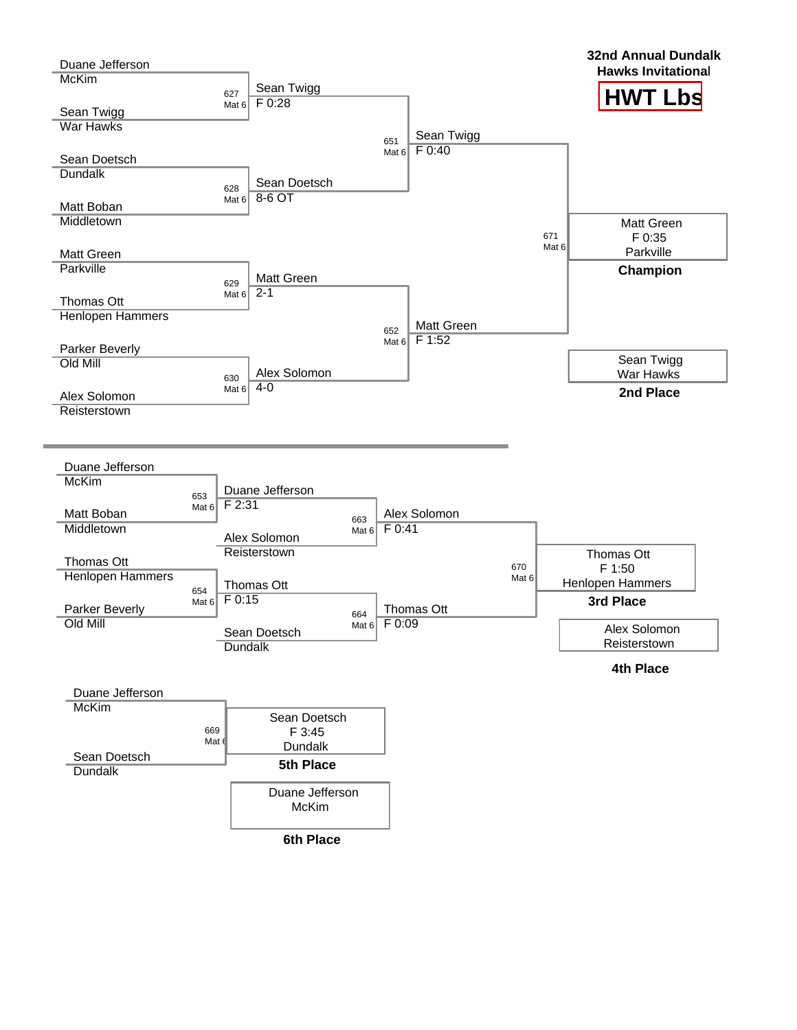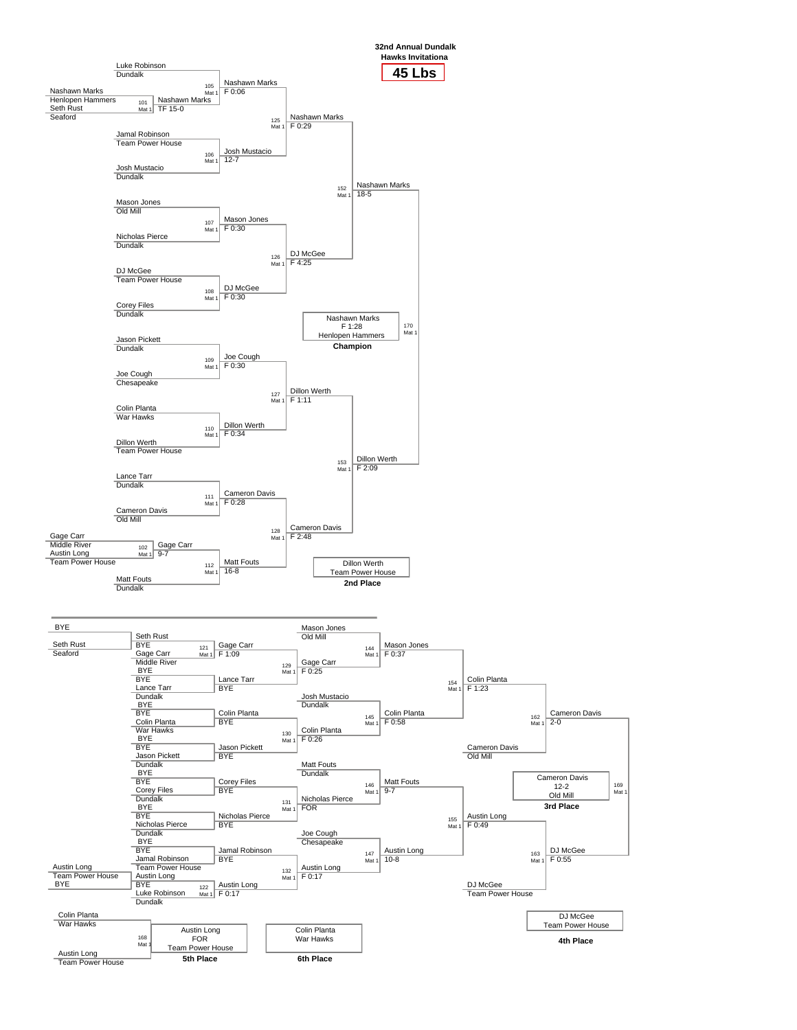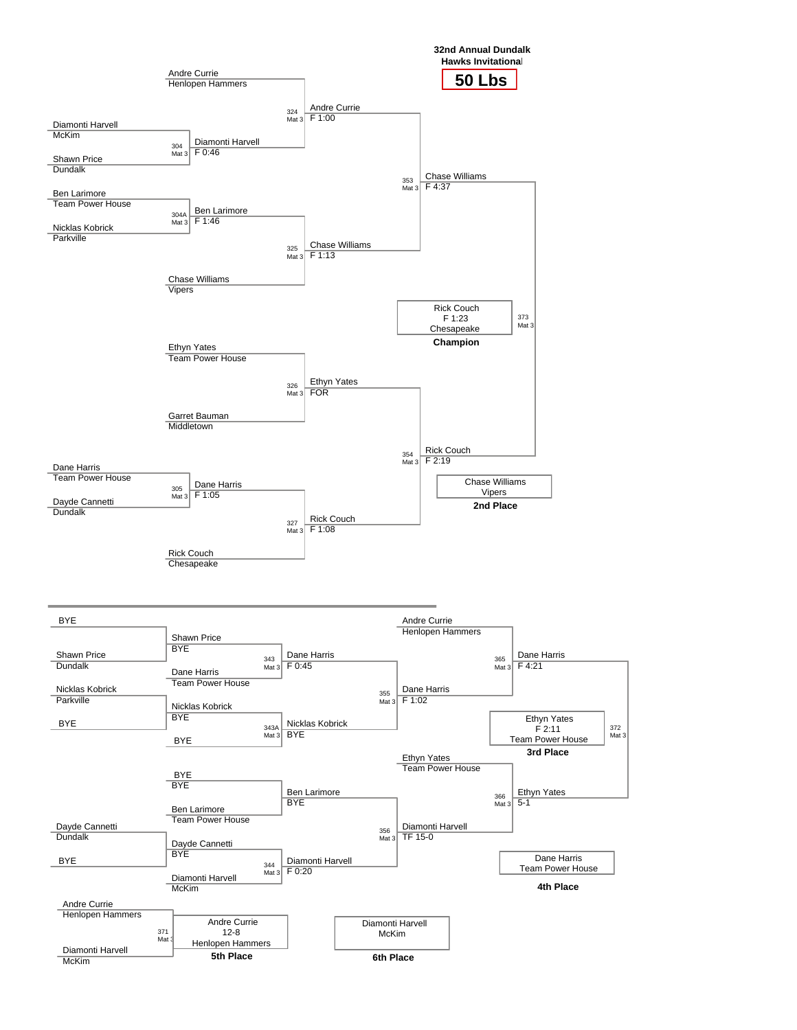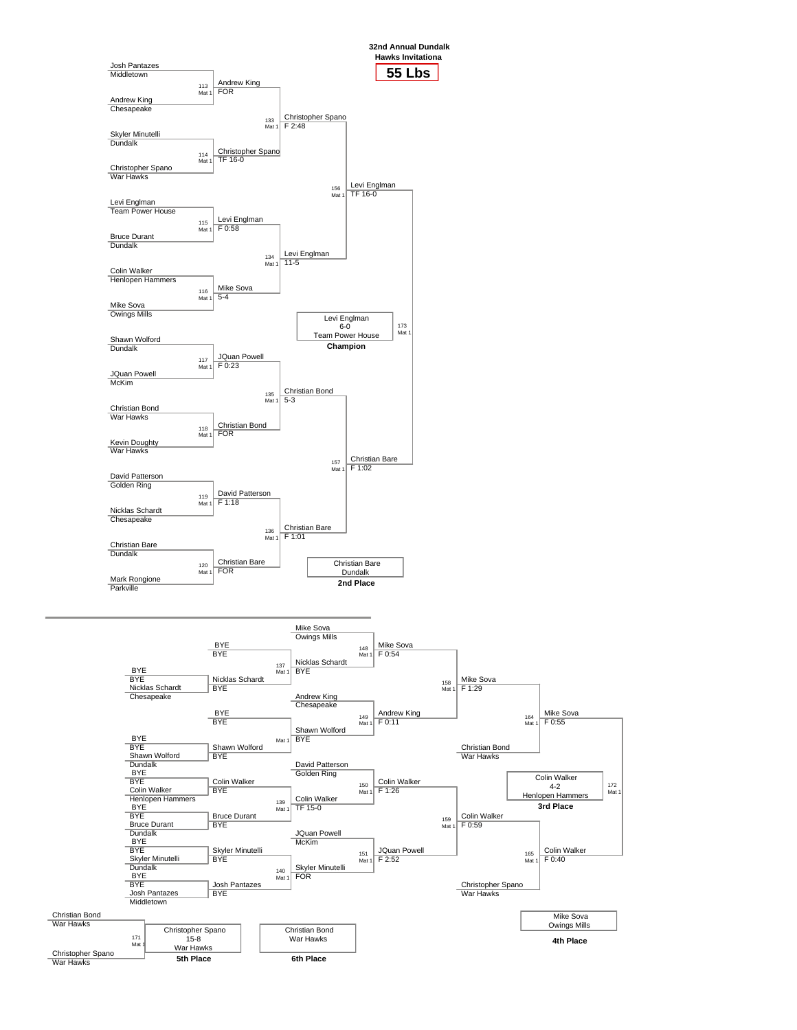

Christian Bond

Mike Sova Owings Mills **4th Place** War Hawks Christopher Spano War Hawks 171 Mat 1 Christopher Spano 15-8 War Hawks **5th Place** Christian Bond War Hawks **6th Place**

172 Mat 1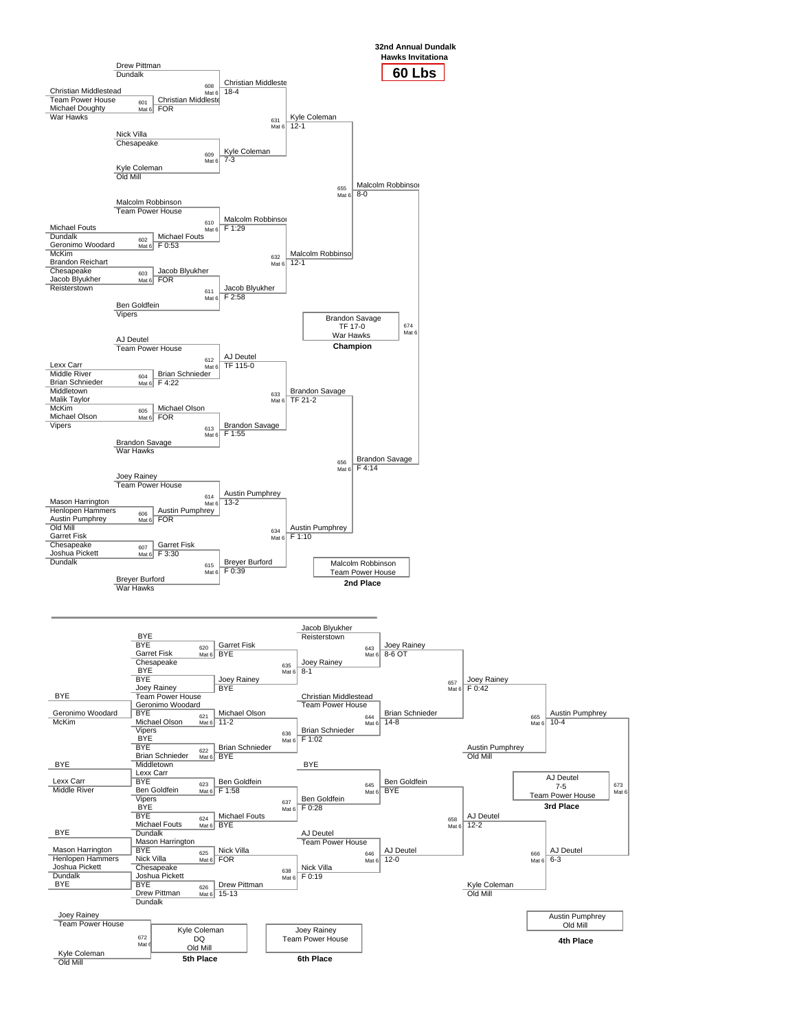

673 Mat 6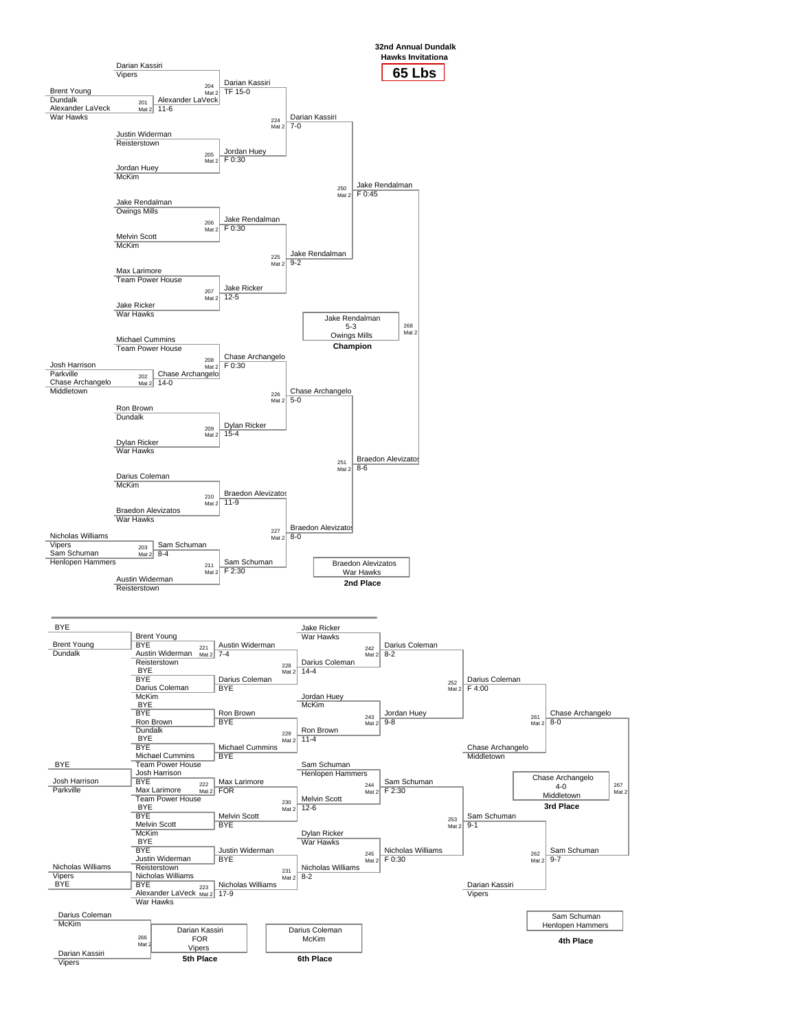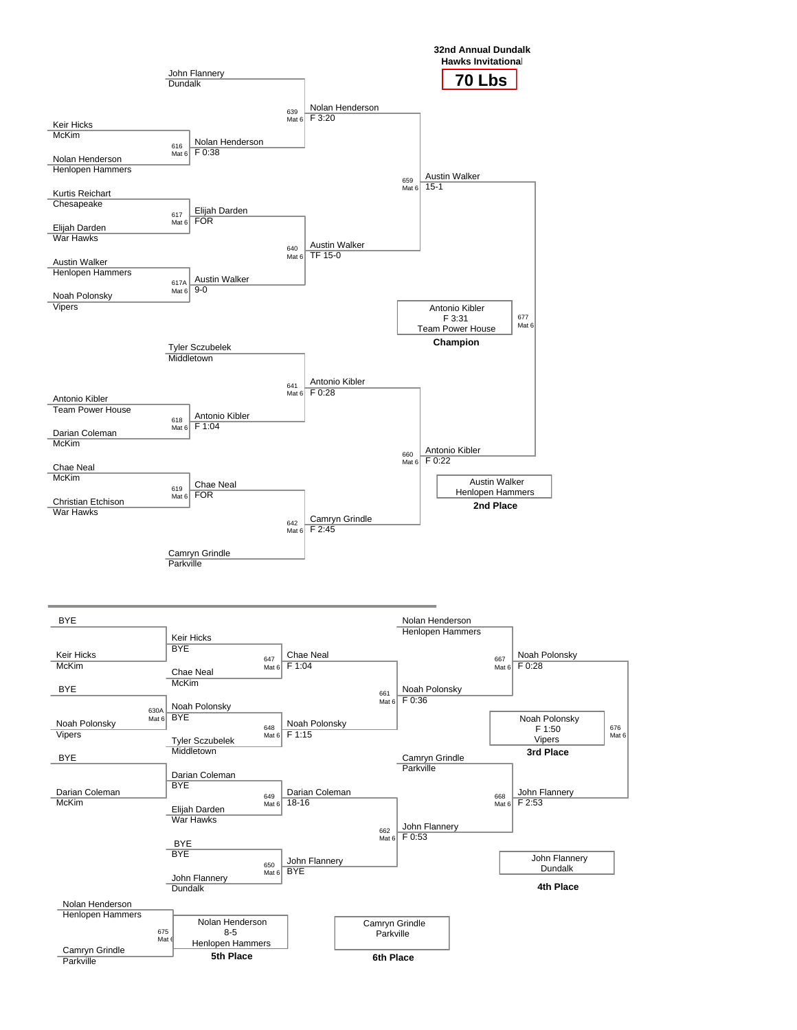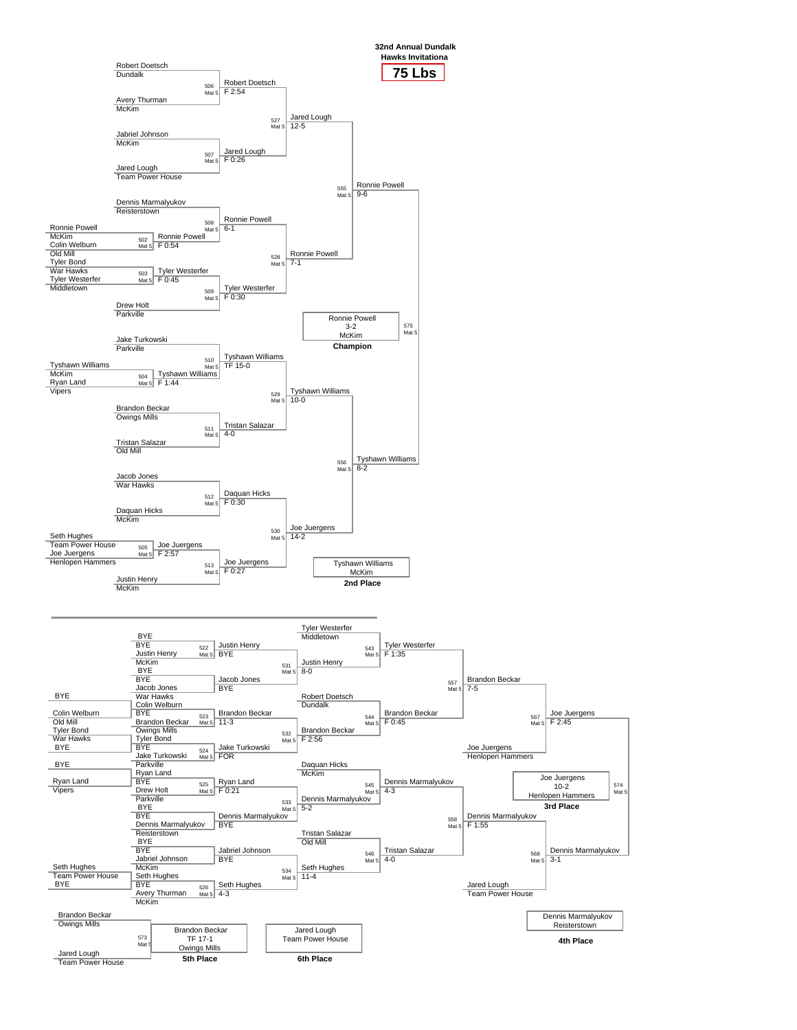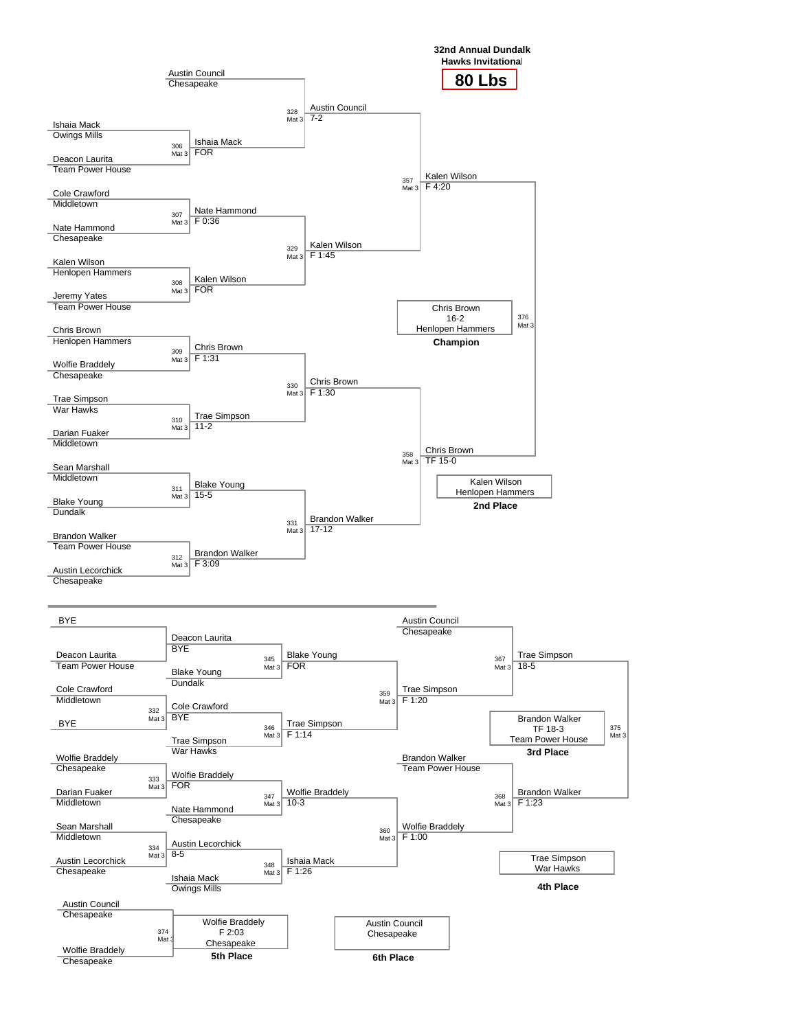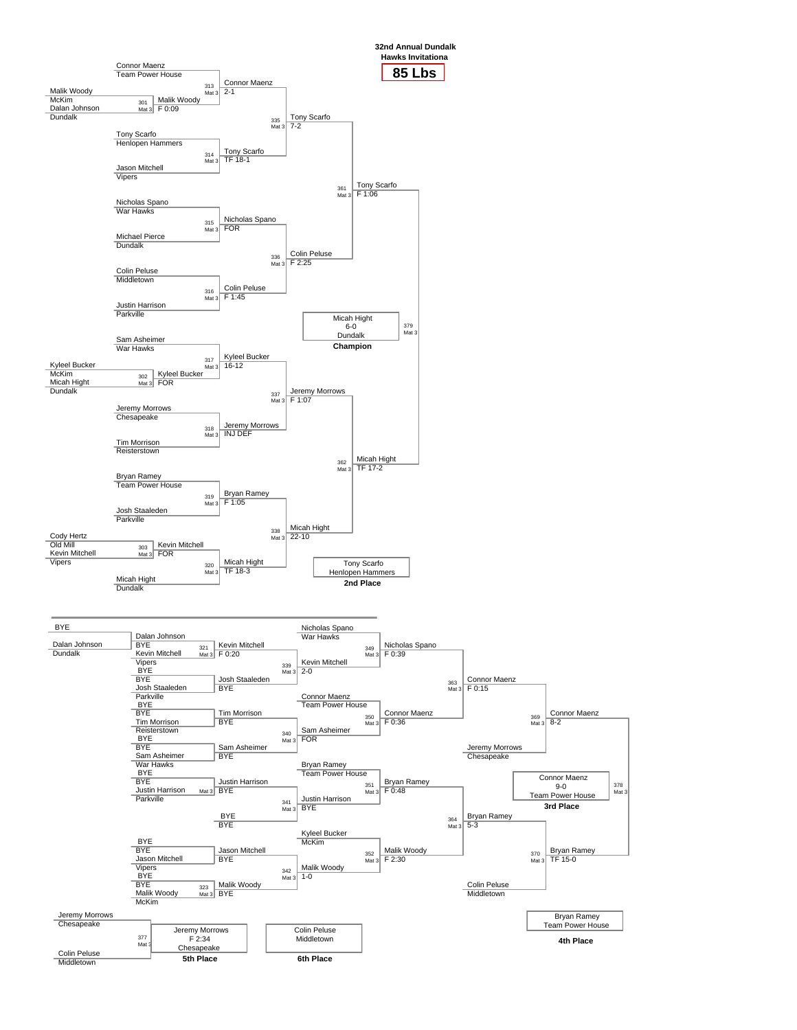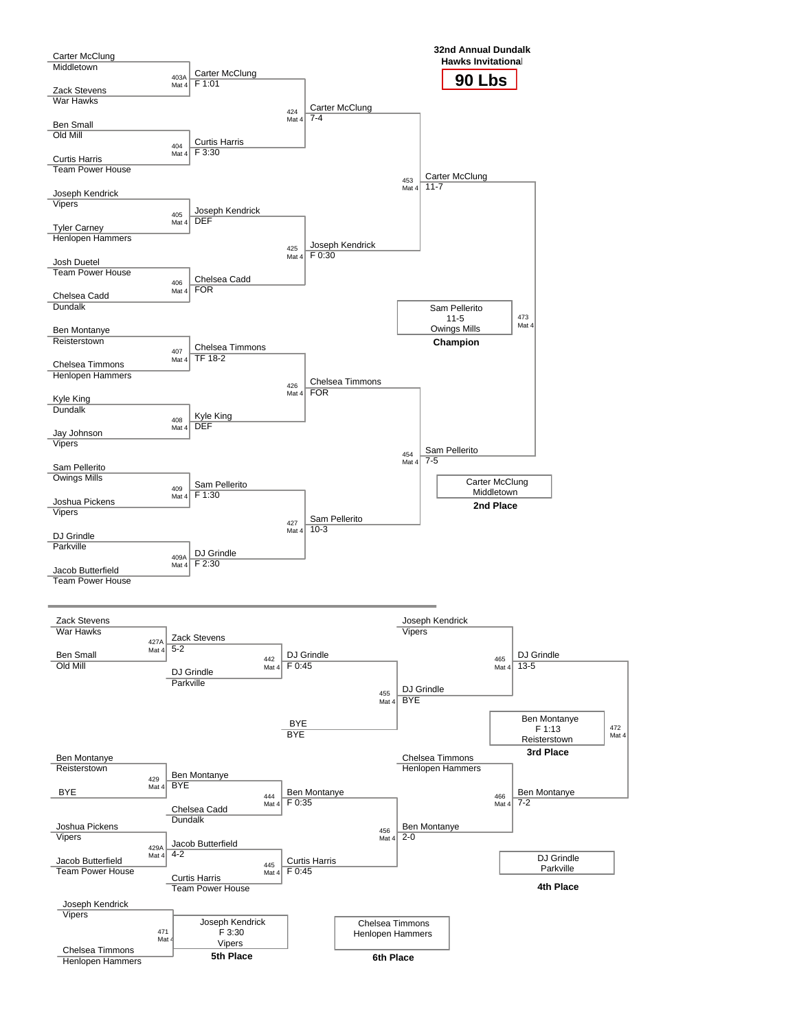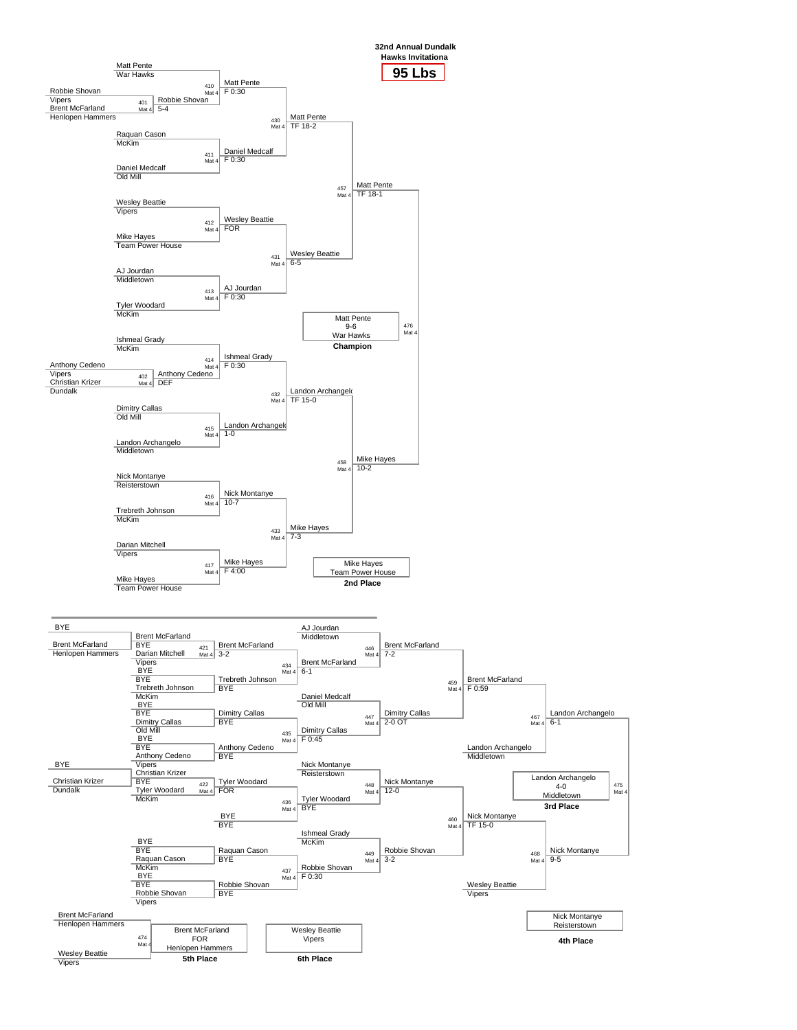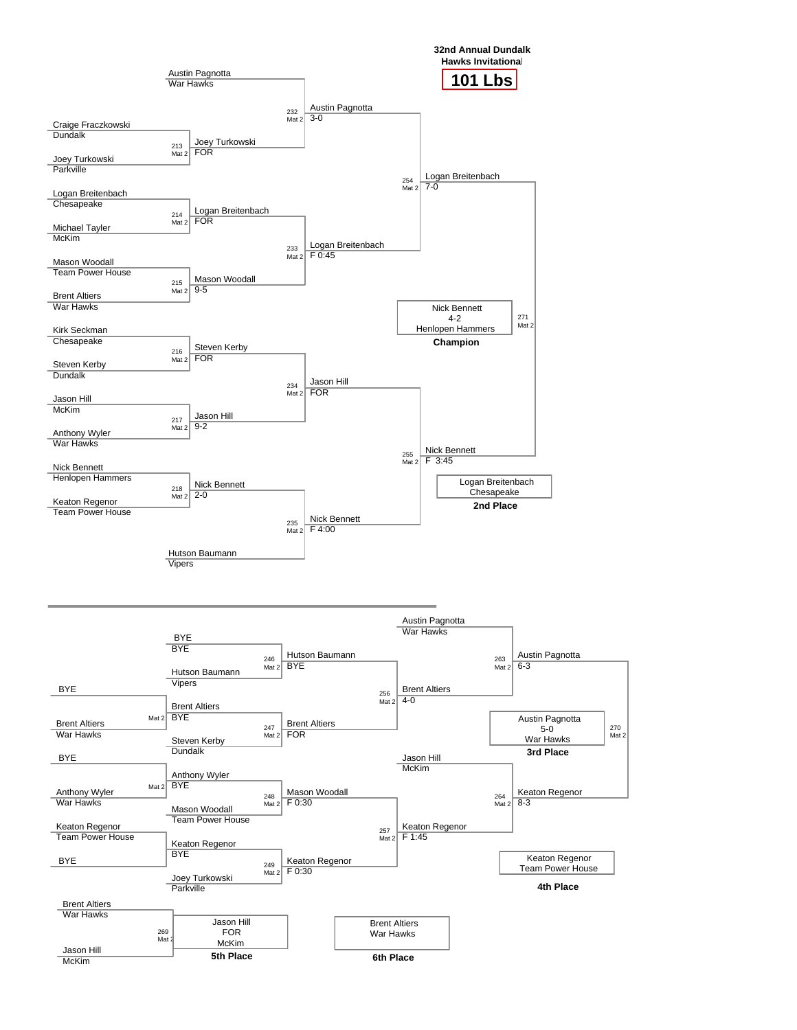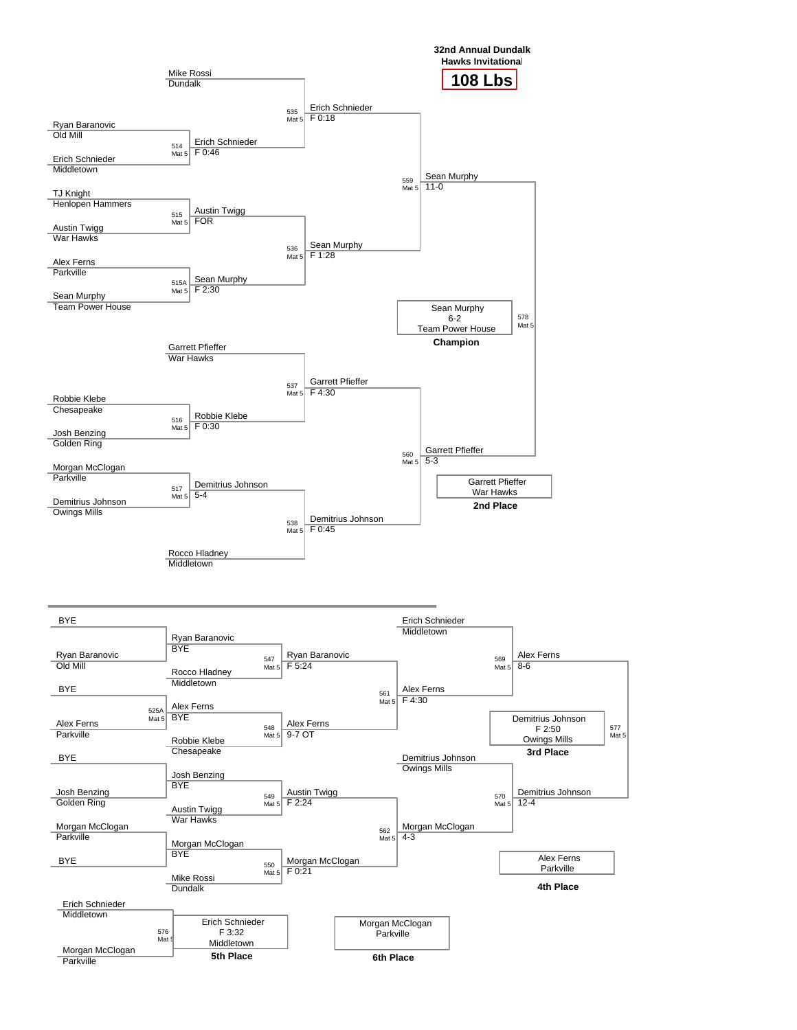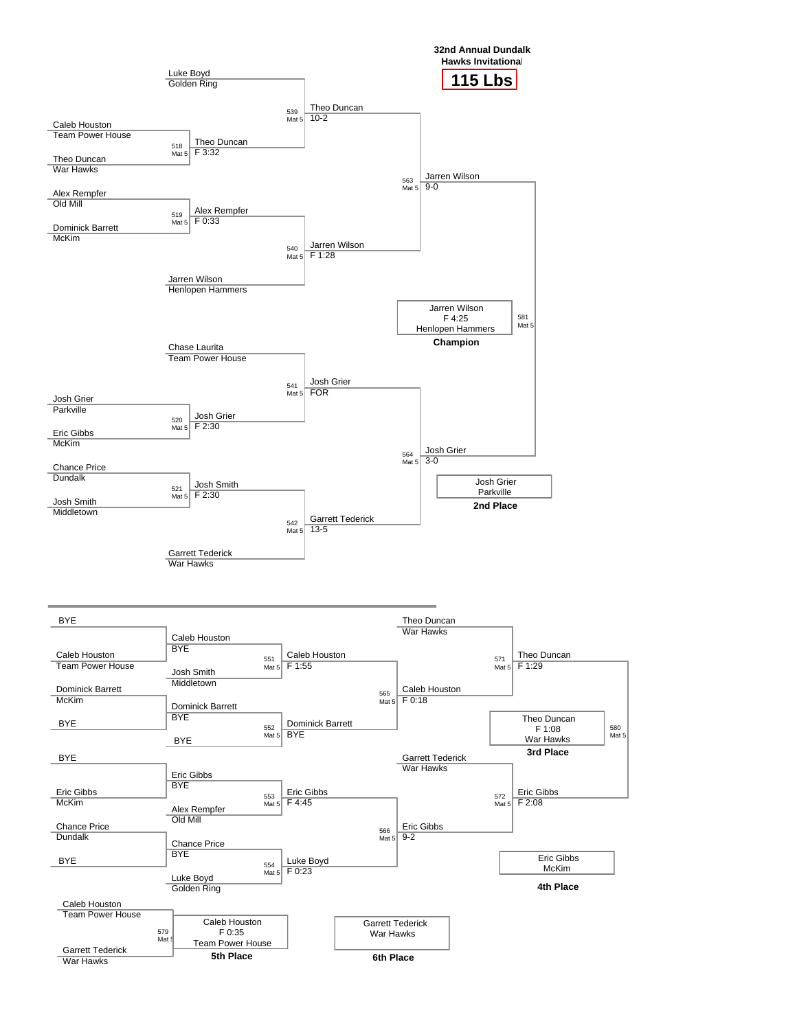

580 Mat 5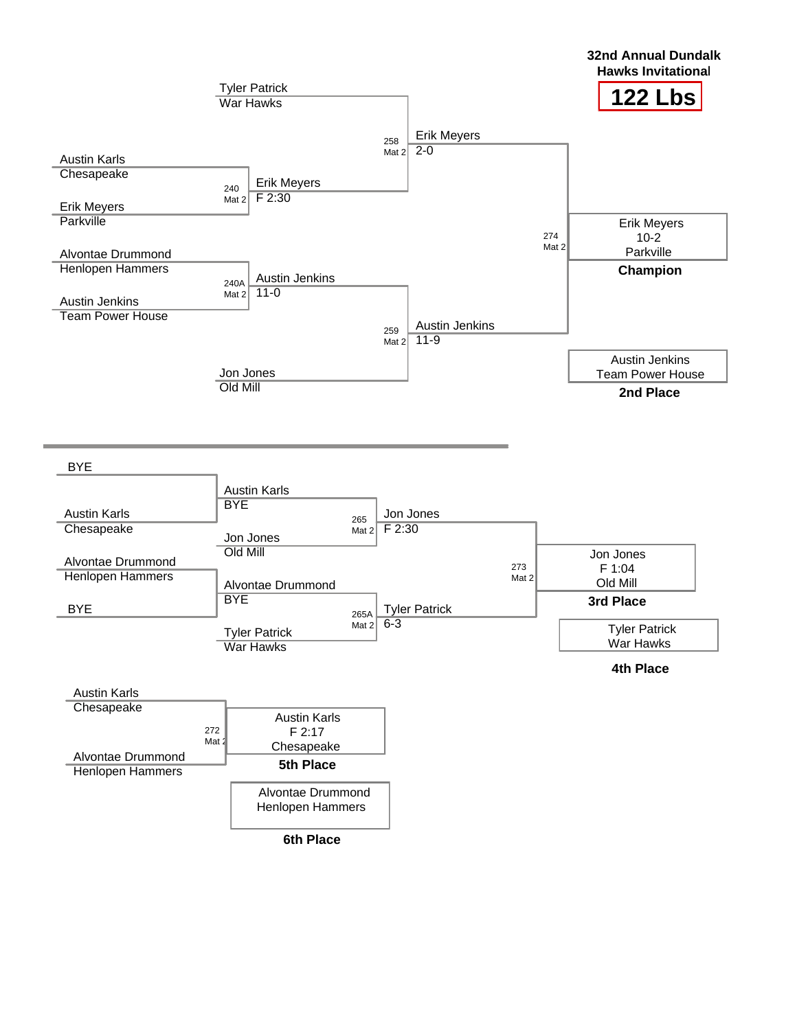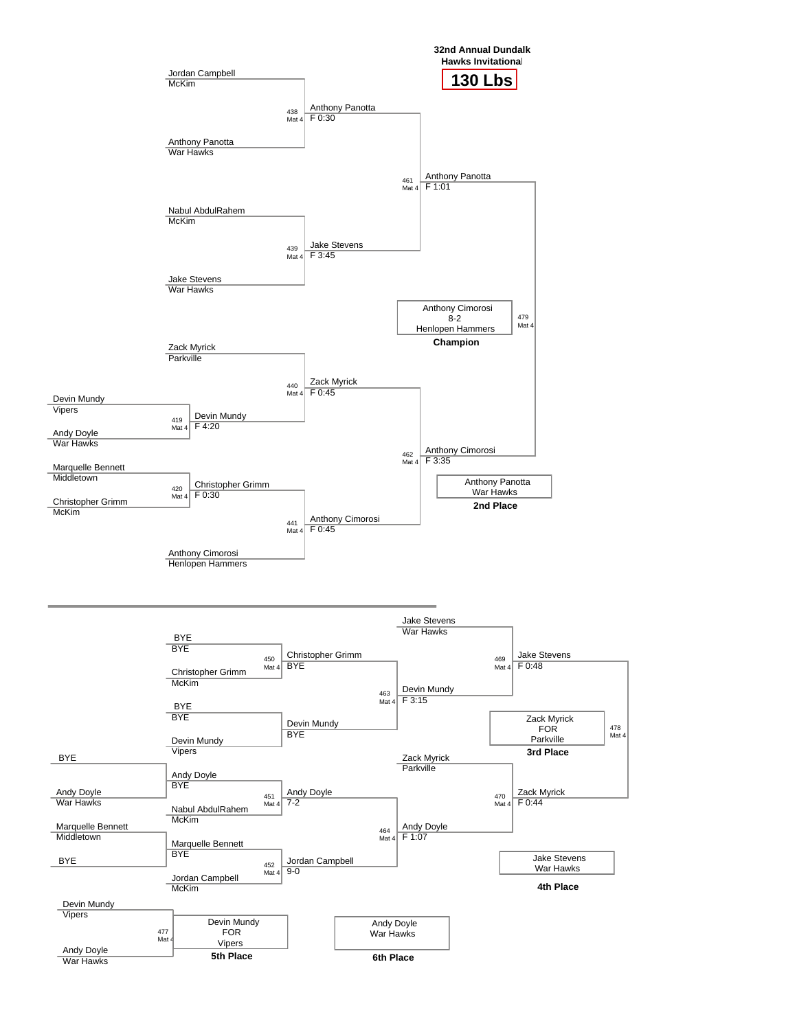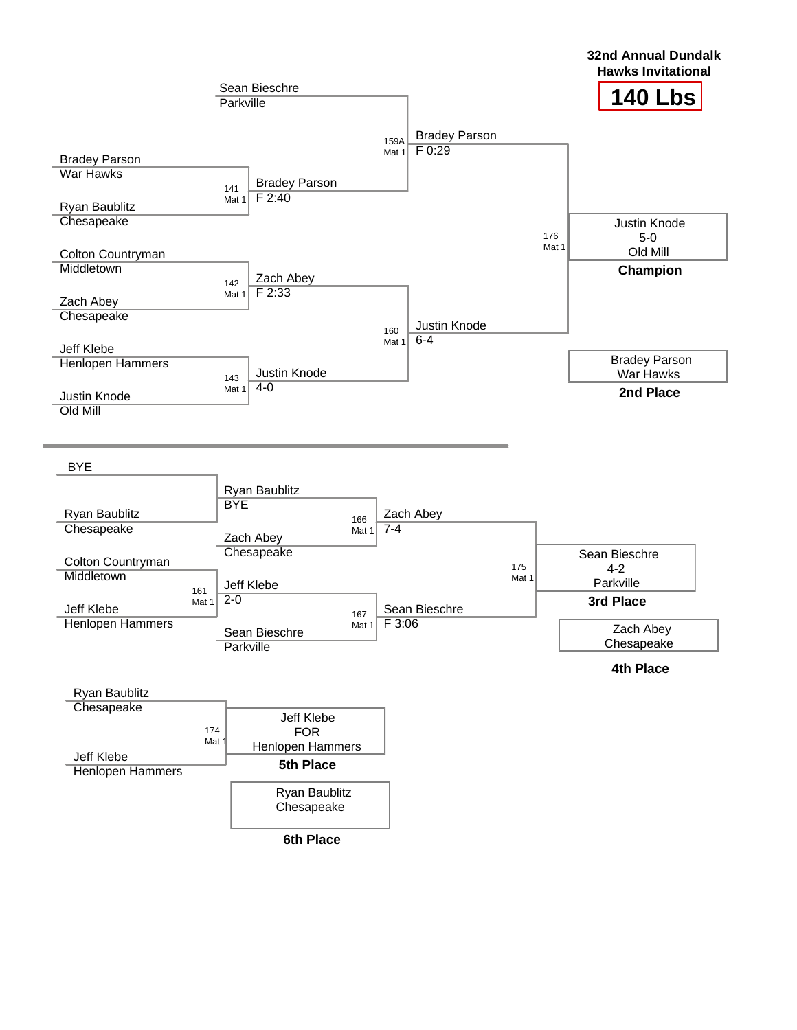